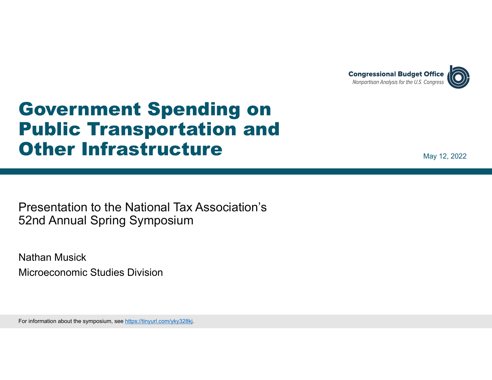

# Government Spending on Public Transportation and Other Infrastructure

May 12, 2022

Presentation to the National Tax Association's 52nd Annual Spring Symposium

Nathan MusickMicroeconomic Studies Division

For information about the symposium, see https://tinyurl.com/yky328kj.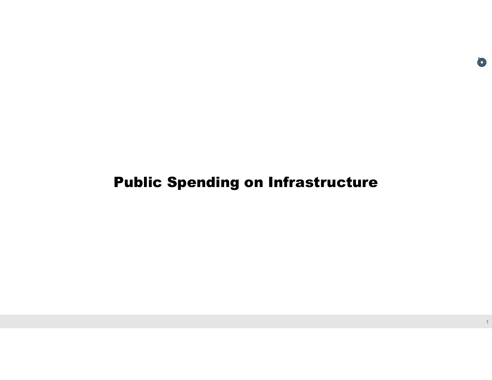## Public Spending on Infrastructure

O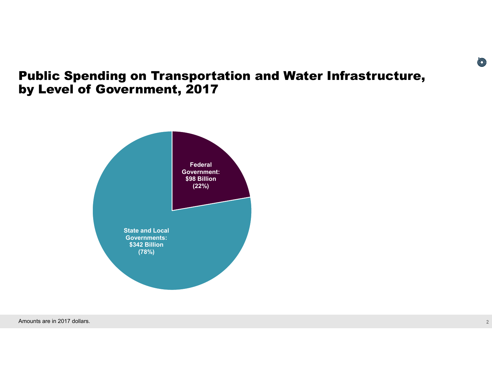#### Public Spending on Transportation and Water Infrastructure, by Level of Government, 2017



Amounts are in 2017 dollars.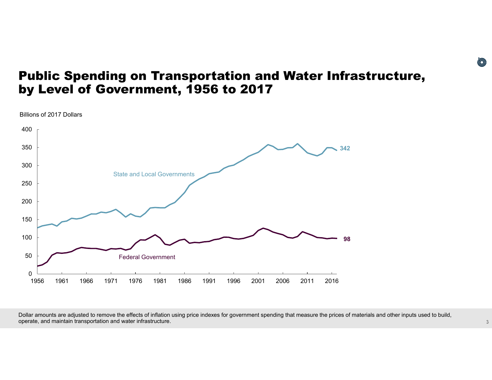#### Public Spending on Transportation and Water Infrastructure, by Level of Government, 1956 to 2017

Billions of 2017 Dollars



Dollar amounts are adjusted to remove the effects of inflation using price indexes for government spending that measure the prices of materials and other inputs used to build, operate, and maintain transportation and water infrastructure.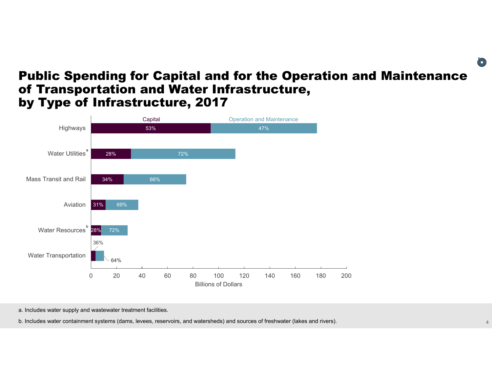#### Public Spending for Capital and for the Operation and Maintenance of Transportation and Water Infrastructure, by Type of Infrastructure, 2017



a. Includes water supply and wastewater treatment facilities.

b. Includes water containment systems (dams, levees, reservoirs, and watersheds) and sources of freshwater (lakes and rivers).

O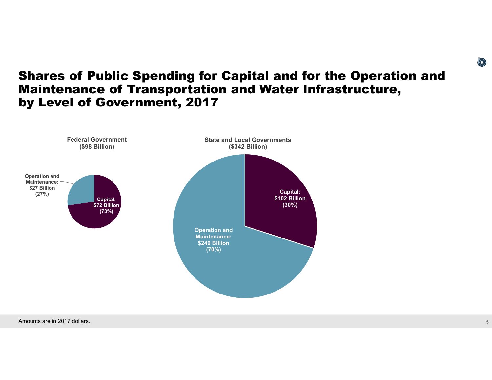#### Shares of Public Spending for Capital and for the Operation and Maintenance of Transportation and Water Infrastructure, by Level of Government, 2017

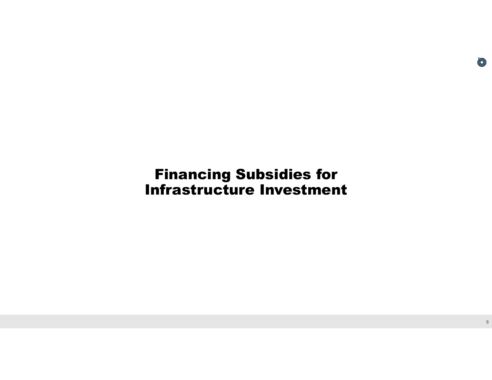## Financing Subsidies for Infrastructure Investment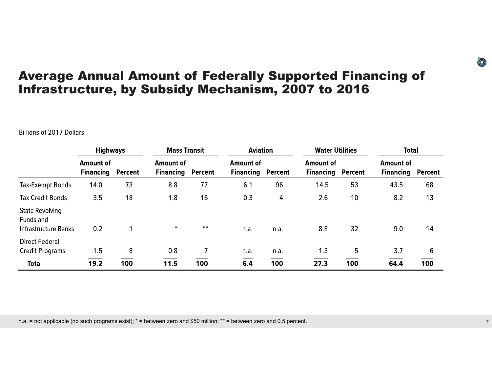### Average Annual Amount of Federally Supported Financing of Infrastructure, by Subsidy Mechanism, 2007 to 2016

#### **Billions of 2017 Dollars**

|                                                             | <b>Highways</b>                      |         | <b>Mass Transit</b>                          |      | <b>Aviation</b>                              |      | <b>Water Utilities</b>               |         | <b>Total</b>                         |         |
|-------------------------------------------------------------|--------------------------------------|---------|----------------------------------------------|------|----------------------------------------------|------|--------------------------------------|---------|--------------------------------------|---------|
|                                                             | <b>Amount of</b><br><b>Financing</b> | Percent | <b>Amount of</b><br><b>Financing Percent</b> |      | <b>Amount of</b><br><b>Financing Percent</b> |      | <b>Amount of</b><br><b>Financing</b> | Percent | <b>Amount of</b><br><b>Financing</b> | Percent |
| Tax-Exempt Bonds                                            | 14.0                                 | 73      | 8.8                                          | 77   | 6.1                                          | 96   | 14.5                                 | 53      | 43.5                                 | 68      |
| <b>Tax Credit Bonds</b>                                     | 3.5                                  | 18      | 1.8                                          | 16   | 0.3                                          | 4    | 2.6                                  | 10      | 8.2                                  | 13      |
| State Revolving<br>Funds and<br><b>Infrastructure Banks</b> | 0.2                                  |         | $*$                                          | $**$ | n.a.                                         | n.a. | 8.8                                  | 32      | 9.0                                  | 14      |
| <b>Direct Federal</b><br><b>Credit Programs</b>             | 1.5                                  | 8       | 0.8                                          |      | n.a.                                         | n.a. | 1.3                                  | 5       | 3.7                                  | 6       |
| <b>Total</b>                                                | 19.2                                 | 100     | 11.5                                         | 100  | 6.4                                          | 100  | 27.3                                 | 100     | 64.4                                 | 100     |

n.a. = not applicable (no such programs exist); \* = between zero and \$50 million; \*\* = between zero and 0.5 percent. **<sup>7</sup>**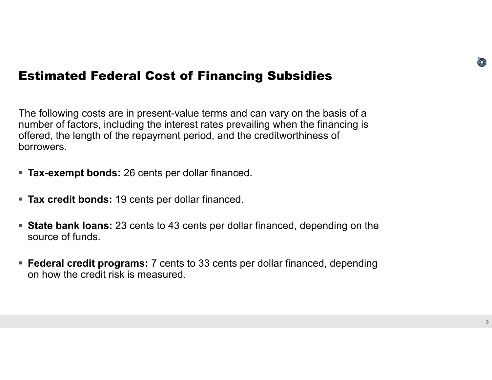#### Estimated Federal Cost of Financing Subsidies

The following costs are in present-value terms and can vary on the basis of a number of factors, including the interest rates prevailing when the financing is offered, the length of the repayment period, and the creditworthiness of borrowers.

- **Tax-exempt bonds:** 26 cents per dollar financed.
- **Tax credit bonds:** 19 cents per dollar financed.
- **State bank loans:** 23 cents to 43 cents per dollar financed, depending on the source of funds.
- **Federal credit programs:** 7 cents to 33 cents per dollar financed, depending on how the credit risk is measured.

(O)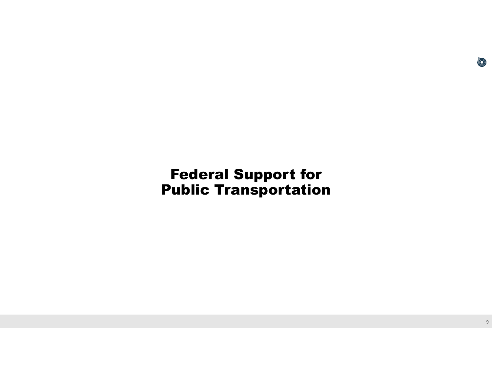## Federal Support for Public Transportation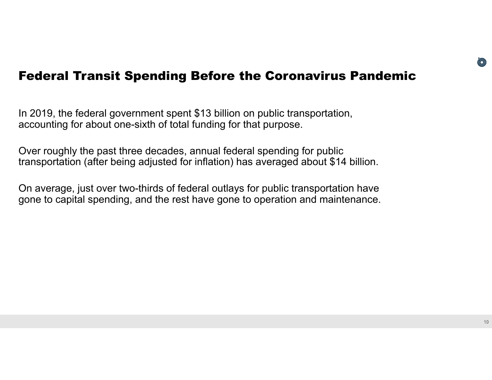#### Federal Transit Spending Before the Coronavirus Pandemic

In 2019, the federal government spent \$13 billion on public transportation, accounting for about one-sixth of total funding for that purpose.

Over roughly the past three decades, annual federal spending for public transportation (after being adjusted for inflation) has averaged about \$14 billion.

On average, just over two-thirds of federal outlays for public transportation have gone to capital spending, and the rest have gone to operation and maintenance.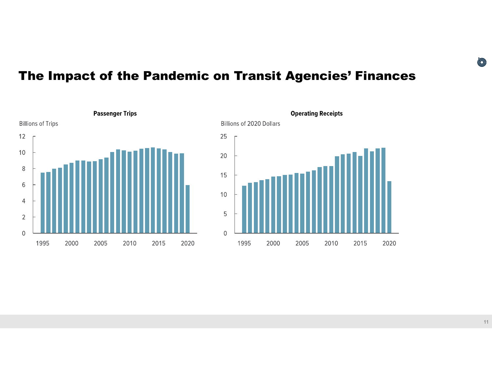### The Impact of the Pandemic on Transit Agencies' Finances





**11**

O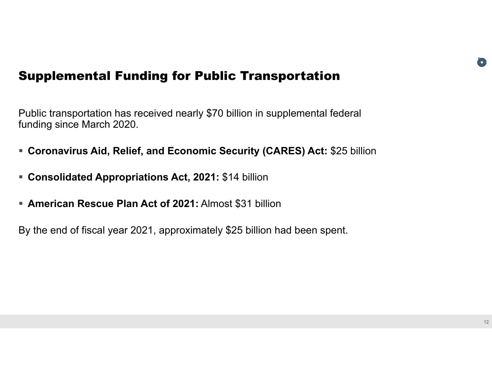#### Supplemental Funding for Public Transportation

Public transportation has received nearly \$70 billion in supplemental federal funding since March 2020.

- **Coronavirus Aid, Relief, and Economic Security (CARES) Act:** \$25 billion
- **Consolidated Appropriations Act, 2021:** \$14 billion
- **American Rescue Plan Act of 2021:** Almost \$31 billion

By the end of fiscal year 2021, approximately \$25 billion had been spent.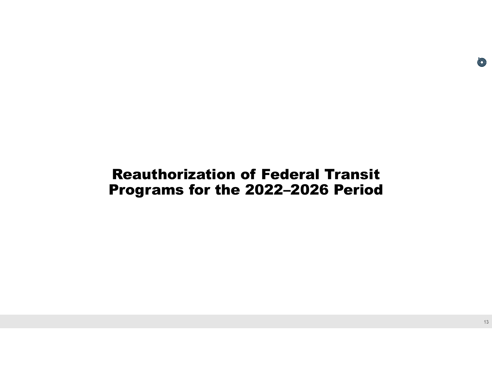## Reauthorization of Federal Transit Programs for the 2022–2026 Period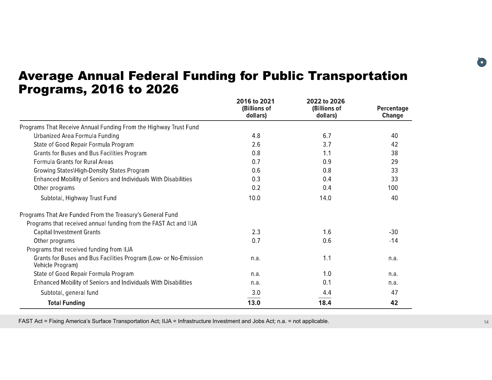#### Average Annual Federal Funding for Public Transportation Programs, 2016 to 2026

|                                                                                      | 2016 to 2021<br>(Billions of<br>dollars) | 2022 to 2026<br>(Billions of<br>dollars) | <b>Percentage</b><br><b>Change</b> |
|--------------------------------------------------------------------------------------|------------------------------------------|------------------------------------------|------------------------------------|
| Programs That Receive Annual Funding From the Highway Trust Fund                     |                                          |                                          |                                    |
| Urbanized Area Formula Funding                                                       | 4.8                                      | 6.7                                      | 40                                 |
| State of Good Repair Formula Program                                                 | 2.6                                      | 3.7                                      | 42                                 |
| <b>Grants for Buses and Bus Facilities Program</b>                                   | 0.8                                      | 1.1                                      | 38                                 |
| <b>Formula Grants for Rural Areas</b>                                                | 0.7                                      | 0.9                                      | 29                                 |
| Growing States\High-Density States Program                                           | 0.6                                      | 0.8                                      | 33                                 |
| Enhanced Mobility of Seniors and Individuals With Disabilities                       | 0.3                                      | 0.4                                      | 33                                 |
| Other programs                                                                       | 0.2                                      | 0.4                                      | 100                                |
| Subtotal, Highway Trust Fund                                                         | 10.0                                     | 14.0                                     | 40                                 |
| Programs That Are Funded From the Treasury's General Fund                            |                                          |                                          |                                    |
| Programs that received annual funding from the FAST Act and IIJA                     |                                          |                                          |                                    |
| <b>Capital Investment Grants</b>                                                     | 2.3                                      | 1.6                                      | $-30$                              |
| Other programs                                                                       | 0.7                                      | 0.6                                      | $-14$                              |
| Programs that received funding from IIJA                                             |                                          |                                          |                                    |
| Grants for Buses and Bus Facilities Program (Low- or No-Emission<br>Vehicle Program) | n.a.                                     | 1.1                                      | n.a.                               |
| State of Good Repair Formula Program                                                 | n.a.                                     | 1.0                                      | n.a.                               |
| Enhanced Mobility of Seniors and Individuals With Disabilities                       | n.a.                                     | 0.1                                      | n.a.                               |
| Subtotal, general fund                                                               | 3.0                                      | 4.4                                      | 47                                 |
| <b>Total Funding</b>                                                                 | 13.0                                     | 18.4                                     | 42                                 |

FAST Act = Fixing America's Surface Transportation Act; IIJA = Infrastructure Investment and Jobs Act; n.a. = not applicable. **<sup>14</sup>**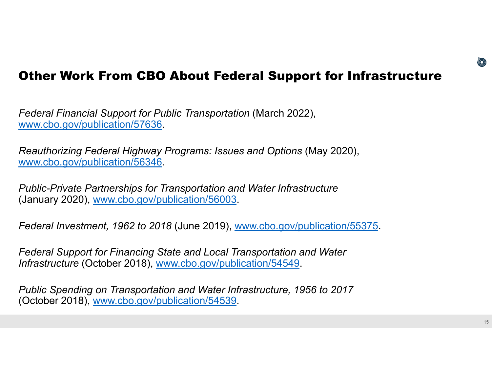#### Other Work From CBO About Federal Support for Infrastructure

*Federal Financial Support for Public Transportation* (March 2022), www.cbo.gov/publication/57636.

*Reauthorizing Federal Highway Programs: Issues and Options* (May 2020), www.cbo.gov/publication/56346.

*Public-Private Partnerships for Transportation and Water Infrastructure*  (January 2020), www.cbo.gov/publication/56003.

*Federal Investment, 1962 to 2018* (June 2019), www.cbo.gov/publication/55375.

*Federal Support for Financing State and Local Transportation and Water Infrastructure* (October 2018), www.cbo.gov/publication/54549.

*Public Spending on Transportation and Water Infrastructure, 1956 to 2017*  (October 2018), www.cbo.gov/publication/54539.